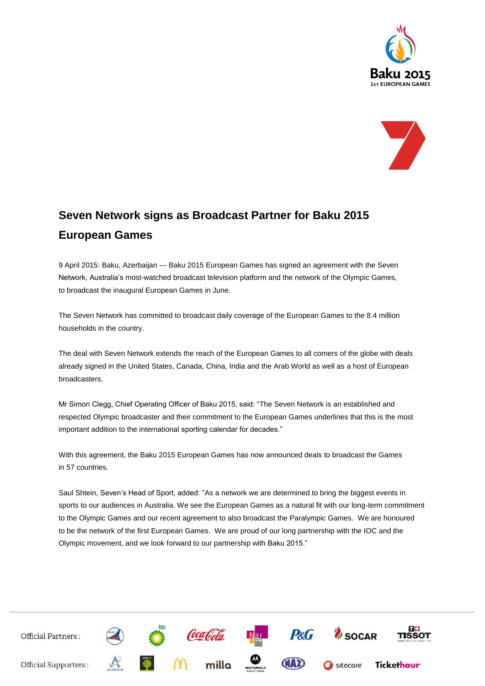



## **Seven Network signs as Broadcast Partner for Baku 2015 European Games**

9 April 2015: Baku, Azerbaijan --- Baku 2015 European Games has signed an agreement with the Seven Network, Australia's most-watched broadcast television platform and the network of the Olympic Games, to broadcast the inaugural European Games in June.

The Seven Network has committed to broadcast daily coverage of the European Games to the 8.4 million households in the country.

The deal with Seven Network extends the reach of the European Games to all corners of the globe with deals already signed in the United States, Canada, China, India and the Arab World as well as a host of European broadcasters.

Mr Simon Clegg, Chief Operating Officer of Baku 2015, said: "The Seven Network is an established and respected Olympic broadcaster and their commitment to the European Games underlines that this is the most important addition to the international sporting calendar for decades."

With this agreement, the Baku 2015 European Games has now announced deals to broadcast the Games in 57 countries.

Saul Shtein, Seven's Head of Sport, added: "As a network we are determined to bring the biggest events in sports to our audiences in Australia. We see the European Games as a natural fit with our long-term commitment to the Olympic Games and our recent agreement to also broadcast the Paralympic Games. We are honoured to be the network of the first European Games. We are proud of our long partnership with the IOC and the Olympic movement, and we look forward to our partnership with Baku 2015."